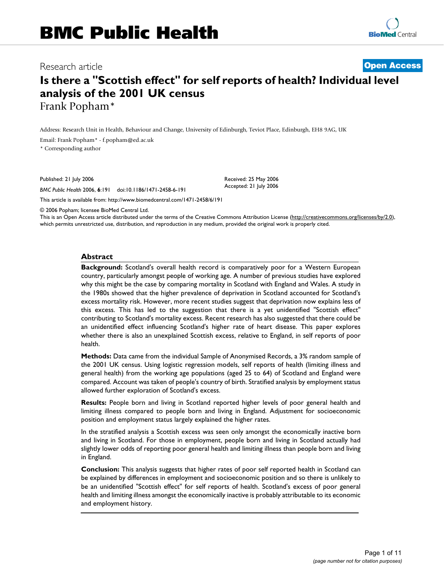# Research article **[Open Access](http://www.biomedcentral.com/info/about/charter/)**

# **Is there a "Scottish effect" for self reports of health? Individual level analysis of the 2001 UK census** Frank Popham\*

Address: Research Unit in Health, Behaviour and Change, University of Edinburgh, Teviot Place, Edinburgh, EH8 9AG, UK

Email: Frank Popham\* - f.popham@ed.ac.uk

\* Corresponding author

Published: 21 July 2006

*BMC Public Health* 2006, **6**:191 doi:10.1186/1471-2458-6-191

[This article is available from: http://www.biomedcentral.com/1471-2458/6/191](http://www.biomedcentral.com/1471-2458/6/191)

© 2006 Popham; licensee BioMed Central Ltd.

This is an Open Access article distributed under the terms of the Creative Commons Attribution License [\(http://creativecommons.org/licenses/by/2.0\)](http://creativecommons.org/licenses/by/2.0), which permits unrestricted use, distribution, and reproduction in any medium, provided the original work is properly cited.

Received: 25 May 2006 Accepted: 21 July 2006

#### **Abstract**

**Background:** Scotland's overall health record is comparatively poor for a Western European country, particularly amongst people of working age. A number of previous studies have explored why this might be the case by comparing mortality in Scotland with England and Wales. A study in the 1980s showed that the higher prevalence of deprivation in Scotland accounted for Scotland's excess mortality risk. However, more recent studies suggest that deprivation now explains less of this excess. This has led to the suggestion that there is a yet unidentified "Scottish effect" contributing to Scotland's mortality excess. Recent research has also suggested that there could be an unidentified effect influencing Scotland's higher rate of heart disease. This paper explores whether there is also an unexplained Scottish excess, relative to England, in self reports of poor health.

**Methods:** Data came from the individual Sample of Anonymised Records, a 3% random sample of the 2001 UK census. Using logistic regression models, self reports of health (limiting illness and general health) from the working age populations (aged 25 to 64) of Scotland and England were compared. Account was taken of people's country of birth. Stratified analysis by employment status allowed further exploration of Scotland's excess.

**Results:** People born and living in Scotland reported higher levels of poor general health and limiting illness compared to people born and living in England. Adjustment for socioeconomic position and employment status largely explained the higher rates.

In the stratified analysis a Scottish excess was seen only amongst the economically inactive born and living in Scotland. For those in employment, people born and living in Scotland actually had slightly lower odds of reporting poor general health and limiting illness than people born and living in England.

**Conclusion:** This analysis suggests that higher rates of poor self reported health in Scotland can be explained by differences in employment and socioeconomic position and so there is unlikely to be an unidentified "Scottish effect" for self reports of health. Scotland's excess of poor general health and limiting illness amongst the economically inactive is probably attributable to its economic and employment history.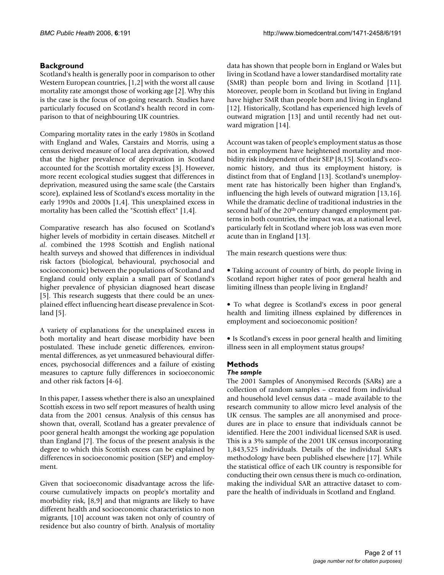# **Background**

Scotland's health is generally poor in comparison to other Western European countries, [1,2] with the worst all cause mortality rate amongst those of working age [2]. Why this is the case is the focus of on-going research. Studies have particularly focused on Scotland's health record in comparison to that of neighbouring UK countries.

Comparing mortality rates in the early 1980s in Scotland with England and Wales, Carstairs and Morris, using a census derived measure of local area deprivation, showed that the higher prevalence of deprivation in Scotland accounted for the Scottish mortality excess [3]. However, more recent ecological studies suggest that differences in deprivation, measured using the same scale (the Carstairs score), explained less of Scotland's excess mortality in the early 1990s and 2000s [1,4]. This unexplained excess in mortality has been called the "Scottish effect" [1,4].

Comparative research has also focused on Scotland's higher levels of morbidity in certain diseases. Mitchell *et al*. combined the 1998 Scottish and English national health surveys and showed that differences in individual risk factors (biological, behavioural, psychosocial and socioeconomic) between the populations of Scotland and England could only explain a small part of Scotland's higher prevalence of physician diagnosed heart disease [5]. This research suggests that there could be an unexplained effect influencing heart disease prevalence in Scotland [5].

A variety of explanations for the unexplained excess in both mortality and heart disease morbidity have been postulated. These include genetic differences, environmental differences, as yet unmeasured behavioural differences, psychosocial differences and a failure of existing measures to capture fully differences in socioeconomic and other risk factors [4-6].

In this paper, I assess whether there is also an unexplained Scottish excess in two self report measures of health using data from the 2001 census. Analysis of this census has shown that, overall, Scotland has a greater prevalence of poor general health amongst the working age population than England [7]. The focus of the present analysis is the degree to which this Scottish excess can be explained by differences in socioeconomic position (SEP) and employment.

Given that socioeconomic disadvantage across the lifecourse cumulatively impacts on people's mortality and morbidity risk, [8,9] and that migrants are likely to have different health and socioeconomic characteristics to non migrants, [10] account was taken not only of country of residence but also country of birth. Analysis of mortality data has shown that people born in England or Wales but living in Scotland have a lower standardised mortality rate (SMR) than people born and living in Scotland [11]. Moreover, people born in Scotland but living in England have higher SMR than people born and living in England [12]. Historically, Scotland has experienced high levels of outward migration [13] and until recently had net outward migration [14].

Account was taken of people's employment status as those not in employment have heightened mortality and morbidity risk independent of their SEP [8,15]. Scotland's economic history, and thus its employment history, is distinct from that of England [13]. Scotland's unemployment rate has historically been higher than England's, influencing the high levels of outward migration [13,16]. While the dramatic decline of traditional industries in the second half of the 20<sup>th</sup> century changed employment patterns in both countries, the impact was, at a national level, particularly felt in Scotland where job loss was even more acute than in England [13].

The main research questions were thus:

• Taking account of country of birth, do people living in Scotland report higher rates of poor general health and limiting illness than people living in England?

• To what degree is Scotland's excess in poor general health and limiting illness explained by differences in employment and socioeconomic position?

• Is Scotland's excess in poor general health and limiting illness seen in all employment status groups?

# **Methods**

### *The sample*

The 2001 Samples of Anonymised Records (SARs) are a collection of random samples – created from individual and household level census data – made available to the research community to allow micro level analysis of the UK census. The samples are all anonymised and procedures are in place to ensure that individuals cannot be identified. Here the 2001 individual licensed SAR is used. This is a 3% sample of the 2001 UK census incorporating 1,843,525 individuals. Details of the individual SAR's methodology have been published elsewhere [17]. While the statistical office of each UK country is responsible for conducting their own census there is much co-ordination, making the individual SAR an attractive dataset to compare the health of individuals in Scotland and England.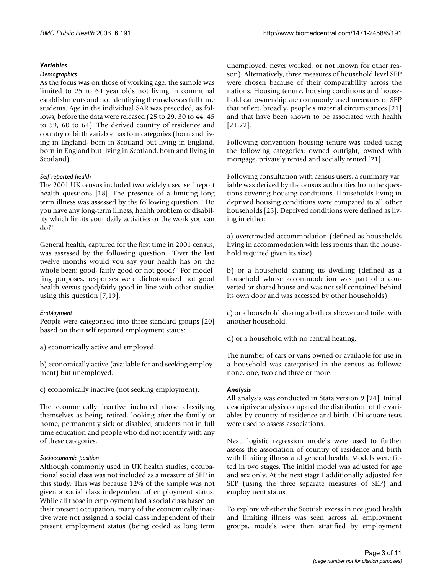# *Variables*

# *Demographics*

As the focus was on those of working age, the sample was limited to 25 to 64 year olds not living in communal establishments and not identifying themselves as full time students. Age in the individual SAR was precoded, as follows, before the data were released (25 to 29, 30 to 44, 45 to 59, 60 to 64). The derived country of residence and country of birth variable has four categories (born and living in England, born in Scotland but living in England, born in England but living in Scotland, born and living in Scotland).

# *Self reported health*

The 2001 UK census included two widely used self report health questions [18]. The presence of a limiting long term illness was assessed by the following question. "Do you have any long-term illness, health problem or disability which limits your daily activities or the work you can do?"

General health, captured for the first time in 2001 census, was assessed by the following question. "Over the last twelve months would you say your health has on the whole been: good, fairly good or not good?" For modelling purposes, responses were dichotomised not good health versus good/fairly good in line with other studies using this question [7,19].

# *Employment*

People were categorised into three standard groups [20] based on their self reported employment status:

a) economically active and employed.

b) economically active (available for and seeking employment) but unemployed.

c) economically inactive (not seeking employment).

The economically inactive included those classifying themselves as being; retired, looking after the family or home, permanently sick or disabled, students not in full time education and people who did not identify with any of these categories.

# *Socioeconomic position*

Although commonly used in UK health studies, occupational social class was not included as a measure of SEP in this study. This was because 12% of the sample was not given a social class independent of employment status. While all those in employment had a social class based on their present occupation, many of the economically inactive were not assigned a social class independent of their present employment status (being coded as long term

unemployed, never worked, or not known for other reason). Alternatively, three measures of household level SEP were chosen because of their comparability across the nations. Housing tenure, housing conditions and household car ownership are commonly used measures of SEP that reflect, broadly, people's material circumstances [21] and that have been shown to be associated with health [21,22].

Following convention housing tenure was coded using the following categories; owned outright, owned with mortgage, privately rented and socially rented [21].

Following consultation with census users, a summary variable was derived by the census authorities from the questions covering housing conditions. Households living in deprived housing conditions were compared to all other households [23]. Deprived conditions were defined as living in either:

a) overcrowded accommodation (defined as households living in accommodation with less rooms than the household required given its size).

b) or a household sharing its dwelling (defined as a household whose accommodation was part of a converted or shared house and was not self contained behind its own door and was accessed by other households).

c) or a household sharing a bath or shower and toilet with another household.

d) or a household with no central heating.

The number of cars or vans owned or available for use in a household was categorised in the census as follows: none, one, two and three or more.

# *Analysis*

All analysis was conducted in Stata version 9 [24]. Initial descriptive analysis compared the distribution of the variables by country of residence and birth. Chi-square tests were used to assess associations.

Next, logistic regression models were used to further assess the association of country of residence and birth with limiting illness and general health. Models were fitted in two stages. The initial model was adjusted for age and sex only. At the next stage I additionally adjusted for SEP (using the three separate measures of SEP) and employment status.

To explore whether the Scottish excess in not good health and limiting illness was seen across all employment groups, models were then stratified by employment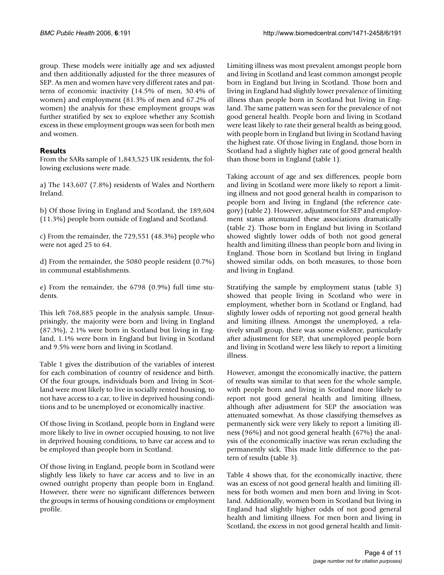group. These models were initially age and sex adjusted and then additionally adjusted for the three measures of SEP. As men and women have very different rates and patterns of economic inactivity (14.5% of men, 30.4% of women) and employment (81.3% of men and 67.2% of women) the analysis for these employment groups was further stratified by sex to explore whether any Scottish excess in these employment groups was seen for both men and women.

# **Results**

From the SARs sample of 1,843,525 UK residents, the following exclusions were made.

a) The 143,607 (7.8%) residents of Wales and Northern Ireland.

b) Of those living in England and Scotland, the 189,604 (11.3%) people born outside of England and Scotland.

c) From the remainder, the 729,551 (48.3%) people who were not aged 25 to 64.

d) From the remainder, the 5080 people resident (0.7%) in communal establishments.

e) From the remainder, the 6798 (0.9%) full time students.

This left 768,885 people in the analysis sample. Unsurprisingly, the majority were born and living in England (87.3%), 2.1% were born in Scotland but living in England, 1.1% were born in England but living in Scotland and 9.5% were born and living in Scotland.

Table 1 gives the distribution of the variables of interest for each combination of country of residence and birth. Of the four groups, individuals born and living in Scotland were most likely to live in socially rented housing, to not have access to a car, to live in deprived housing conditions and to be unemployed or economically inactive.

Of those living in Scotland, people born in England were more likely to live in owner occupied housing, to not live in deprived housing conditions, to have car access and to be employed than people born in Scotland.

Of those living in England, people born in Scotland were slightly less likely to have car access and to live in an owned outright property than people born in England. However, there were no significant differences between the groups in terms of housing conditions or employment profile.

Limiting illness was most prevalent amongst people born and living in Scotland and least common amongst people born in England but living in Scotland. Those born and living in England had slightly lower prevalence of limiting illness than people born in Scotland but living in England. The same pattern was seen for the prevalence of not good general health. People born and living in Scotland were least likely to rate their general health as being good, with people born in England but living in Scotland having the highest rate. Of those living in England, those born in Scotland had a slightly higher rate of good general health than those born in England (table 1).

Taking account of age and sex differences, people born and living in Scotland were more likely to report a limiting illness and not good general health in comparison to people born and living in England (the reference category) (table 2). However, adjustment for SEP and employment status attenuated these associations dramatically (table 2). Those born in England but living in Scotland showed slightly lower odds of both not good general health and limiting illness than people born and living in England. Those born in Scotland but living in England showed similar odds, on both measures, to those born and living in England.

Stratifying the sample by employment status (table 3) showed that people living in Scotland who were in employment, whether born in Scotland or England, had slightly lower odds of reporting not good general health and limiting illness. Amongst the unemployed, a relatively small group, there was some evidence, particularly after adjustment for SEP, that unemployed people born and living in Scotland were less likely to report a limiting illness.

However, amongst the economically inactive, the pattern of results was similar to that seen for the whole sample, with people born and living in Scotland more likely to report not good general health and limiting illness, although after adjustment for SEP the association was attenuated somewhat. As those classifying themselves as permanently sick were very likely to report a limiting illness (96%) and not good general health (67%) the analysis of the economically inactive was rerun excluding the permanently sick. This made little difference to the pattern of results (table 3).

Table 4 shows that, for the economically inactive, there was an excess of not good general health and limiting illness for both women and men born and living in Scotland. Additionally, women born in Scotland but living in England had slightly higher odds of not good general health and limiting illness. For men born and living in Scotland, the excess in not good general health and limit-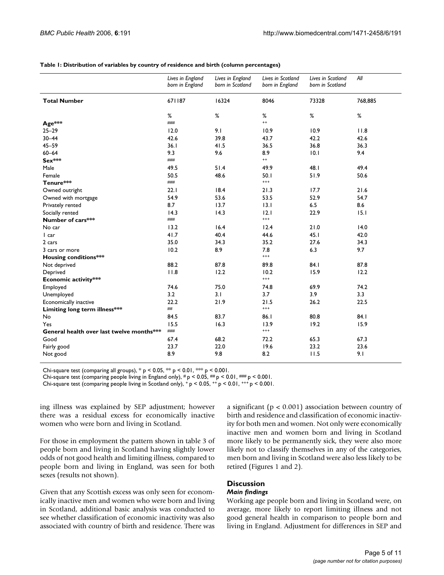#### **Table 1: Distribution of variables by country of residence and birth (column percentages)**

|                                           | Lives in England<br>born in England | Lives in England<br>born in Scotland | Lives in Scotland<br>born in England | Lives in Scotland<br>born in Scotland | All     |
|-------------------------------------------|-------------------------------------|--------------------------------------|--------------------------------------|---------------------------------------|---------|
| <b>Total Number</b>                       | 671187                              | 16324                                | 8046                                 | 73328                                 | 768,885 |
|                                           | %                                   | %                                    | %                                    | %                                     | $\%$    |
| Age***                                    | ###                                 |                                      | $^{++}$                              |                                       |         |
| $25 - 29$                                 | 12.0                                | 9.1                                  | 10.9                                 | 10.9                                  | 11.8    |
| $30 - 44$                                 | 42.6                                | 39.8                                 | 43.7                                 | 42.2                                  | 42.6    |
| $45 - 59$                                 | 36.1                                | 41.5                                 | 36.5                                 | 36.8                                  | 36.3    |
| $60 - 64$                                 | 9.3                                 | 9.6                                  | 8.9                                  | 10.1                                  | 9.4     |
| Sex***                                    | ###                                 |                                      | $^{++}$                              |                                       |         |
| Male                                      | 49.5                                | 51.4                                 | 49.9                                 | 48.1                                  | 49.4    |
| Female                                    | 50.5                                | 48.6                                 | 50.1                                 | 51.9                                  | 50.6    |
| Tenure***                                 | ###                                 |                                      | $^{+++}$                             |                                       |         |
| Owned outright                            | 22.1                                | 18.4                                 | 21.3                                 | 17.7                                  | 21.6    |
| Owned with mortgage                       | 54.9                                | 53.6                                 | 53.5                                 | 52.9                                  | 54.7    |
| Privately rented                          | 8.7                                 | 13.7                                 | 13.1                                 | 6.5                                   | 8.6     |
| Socially rented                           | 14.3                                | 14.3                                 | 2.1                                  | 22.9                                  | 15.1    |
| Number of cars***                         | ###                                 |                                      | $^{+++}$                             |                                       |         |
| No car                                    | 13.2                                | 16.4                                 | 12.4                                 | 21.0                                  | 14.0    |
| 1 car                                     | 41.7                                | 40.4                                 | 44.6                                 | 45.1                                  | 42.0    |
| 2 cars                                    | 35.0                                | 34.3                                 | 35.2                                 | 27.6                                  | 34.3    |
| 3 cars or more                            | 10.2                                | 8.9                                  | 7.8                                  | 6.3                                   | 9.7     |
| Housing conditions***                     |                                     |                                      | $^{+++}$                             |                                       |         |
| Not deprived                              | 88.2                                | 87.8                                 | 89.8                                 | 84.I                                  | 87.8    |
| Deprived                                  | 11.8                                | 12.2                                 | 10.2                                 | 15.9                                  | 12.2    |
| Economic activity***                      |                                     |                                      | $^{+++}$                             |                                       |         |
| Employed                                  | 74.6                                | 75.0                                 | 74.8                                 | 69.9                                  | 74.2    |
| Unemployed                                | 3.2                                 | 3.1                                  | 3.7                                  | 3.9                                   | 3.3     |
| Economically inactive                     | 22.2                                | 21.9                                 | 21.5                                 | 26.2                                  | 22.5    |
| Limiting long term illness***             | $\# \#$                             |                                      | $^{+++}$                             |                                       |         |
| No                                        | 84.5                                | 83.7                                 | 86.1                                 | 80.8                                  | 84.I    |
| Yes                                       | 15.5                                | 16.3                                 | 13.9                                 | 19.2                                  | 15.9    |
| General health over last twelve months*** | ###                                 |                                      | $^{+++}$                             |                                       |         |
| Good                                      | 67.4                                | 68.2                                 | 72.2                                 | 65.3                                  | 67.3    |
| Fairly good                               | 23.7                                | 22.0                                 | 19.6                                 | 23.2                                  | 23.6    |
| Not good                                  | 8.9                                 | 9.8                                  | 8.2                                  | 11.5                                  | 9.1     |

Chi-square test (comparing all groups),  $*$  p < 0.05,  $**$  p < 0.01,  $**$  p < 0.001.

Chi-square test (comparing people living in England only),  $#p \le 0.05,$   $# \mu$   $p \le 0.01,$   $# \mu$   $p \le 0.001.$ 

Chi-square test (comparing people living in Scotland only),  $+p < 0.05$ ,  $+p < 0.01$ ,  $++ p < 0.001$ .

ing illness was explained by SEP adjustment; however there was a residual excess for economically inactive women who were born and living in Scotland.

For those in employment the pattern shown in table 3 of people born and living in Scotland having slightly lower odds of not good health and limiting illness, compared to people born and living in England, was seen for both sexes (results not shown).

Given that any Scottish excess was only seen for economically inactive men and women who were born and living in Scotland, additional basic analysis was conducted to see whether classification of economic inactivity was also associated with country of birth and residence. There was a significant (p < 0.001) association between country of birth and residence and classification of economic inactivity for both men and women. Not only were economically inactive men and women born and living in Scotland more likely to be permanently sick, they were also more likely not to classify themselves in any of the categories, men born and living in Scotland were also less likely to be retired (Figures 1 and 2).

# **Discussion**

### *Main findings*

Working age people born and living in Scotland were, on average, more likely to report limiting illness and not good general health in comparison to people born and living in England. Adjustment for differences in SEP and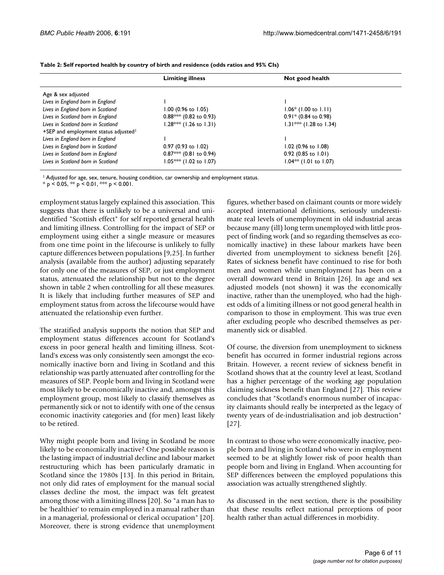|                                                  | <b>Limiting illness</b>  | Not good health          |  |
|--------------------------------------------------|--------------------------|--------------------------|--|
| Age & sex adjusted                               |                          |                          |  |
| Lives in England born in England                 |                          |                          |  |
| Lives in England born in Scotland                | 1.00 (0.96 to 1.05)      | $1.06*$ (1.00 to 1.11)   |  |
| Lives in Scotland born in England                | $0.88***(0.82)$ to 0.93) | $0.91*$ (0.84 to 0.98)   |  |
| Lives in Scotland born in Scotland               | $1.28***$ (1.26 to 1.31) | $1.31***$ (1.28 to 1.34) |  |
| +SEP and employment status adjusted <sup>1</sup> |                          |                          |  |
| Lives in England born in England                 |                          |                          |  |
| Lives in England born in Scotland                | $0.97$ (0.93 to 1.02)    | $1.02$ (0.96 to 1.08)    |  |
| Lives in Scotland born in England                | $0.87***$ (0.81 to 0.94) | $0.92$ (0.85 to 1.01)    |  |
| Lives in Scotland born in Scotland               | $1.05***$ (1.02 to 1.07) | $1.04**$ (1.01 to 1.07)  |  |

**Table 2: Self reported health by country of birth and residence (odds ratios and 95% CIs)**

1 Adjusted for age, sex, tenure, housing condition, car ownership and employment status.

 $* p < 0.05, ** p < 0.01, *** p < 0.001.$ 

employment status largely explained this association. This suggests that there is unlikely to be a universal and unidentified "Scottish effect" for self reported general health and limiting illness. Controlling for the impact of SEP or employment using either a single measure or measures from one time point in the lifecourse is unlikely to fully capture differences between populations [9,25]. In further analysis (available from the author) adjusting separately for only one of the measures of SEP, or just employment status, attenuated the relationship but not to the degree shown in table 2 when controlling for all these measures. It is likely that including further measures of SEP and employment status from across the lifecourse would have attenuated the relationship even further.

The stratified analysis supports the notion that SEP and employment status differences account for Scotland's excess in poor general health and limiting illness. Scotland's excess was only consistently seen amongst the economically inactive born and living in Scotland and this relationship was partly attenuated after controlling for the measures of SEP. People born and living in Scotland were most likely to be economically inactive and, amongst this employment group, most likely to classify themselves as permanently sick or not to identify with one of the census economic inactivity categories and (for men) least likely to be retired.

Why might people born and living in Scotland be more likely to be economically inactive? One possible reason is the lasting impact of industrial decline and labour market restructuring which has been particularly dramatic in Scotland since the 1980s [13]. In this period in Britain, not only did rates of employment for the manual social classes decline the most, the impact was felt greatest among those with a limiting illness [20]. So "a man has to be 'healthier' to remain employed in a manual rather than in a managerial, professional or clerical occupation" [20]. Moreover, there is strong evidence that unemployment figures, whether based on claimant counts or more widely accepted international definitions, seriously underestimate real levels of unemployment in old industrial areas because many (ill) long term unemployed with little prospect of finding work (and so regarding themselves as economically inactive) in these labour markets have been diverted from unemployment to sickness benefit [26]. Rates of sickness benefit have continued to rise for both men and women while unemployment has been on a overall downward trend in Britain [26]. In age and sex adjusted models (not shown) it was the economically inactive, rather than the unemployed, who had the highest odds of a limiting illness or not good general health in comparison to those in employment. This was true even after excluding people who described themselves as permanently sick or disabled.

Of course, the diversion from unemployment to sickness benefit has occurred in former industrial regions across Britain. However, a recent review of sickness benefit in Scotland shows that at the country level at least, Scotland has a higher percentage of the working age population claiming sickness benefit than England [27]. This review concludes that "Scotland's enormous number of incapacity claimants should really be interpreted as the legacy of twenty years of de-industrialisation and job destruction" [27].

In contrast to those who were economically inactive, people born and living in Scotland who were in employment seemed to be at slightly lower risk of poor health than people born and living in England. When accounting for SEP differences between the employed populations this association was actually strengthened slightly.

As discussed in the next section, there is the possibility that these results reflect national perceptions of poor health rather than actual differences in morbidity.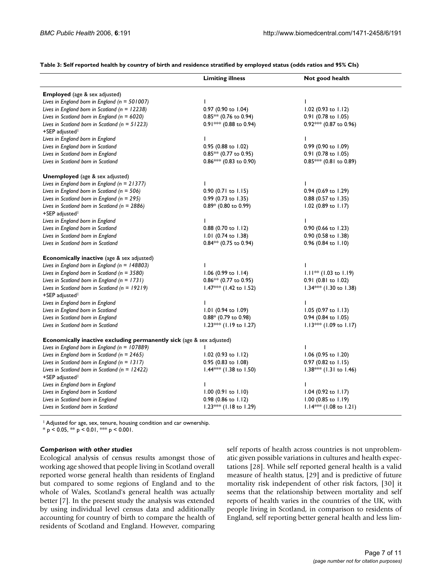|  |  | Table 3: Self reported health by country of birth and residence stratified by employed status (odds ratios and 95% CIs) |  |  |
|--|--|-------------------------------------------------------------------------------------------------------------------------|--|--|
|--|--|-------------------------------------------------------------------------------------------------------------------------|--|--|

|                                                                       | <b>Limiting illness</b>           | Not good health                   |  |  |  |
|-----------------------------------------------------------------------|-----------------------------------|-----------------------------------|--|--|--|
| <b>Employed</b> (age & sex adjusted)                                  |                                   |                                   |  |  |  |
| Lives in England born in England ( $n = 501007$ )                     | I                                 | ı                                 |  |  |  |
| Lives in England born in Scotland ( $n = 12238$ )                     | 0.97 (0.90 to 1.04)               | $1.02$ (0.93 to $1.12$ )          |  |  |  |
| Lives in Scotland born in England ( $n = 6020$ )                      | $0.85***$ (0.76 to 0.94)          | 0.91 (0.78 to 1.05)               |  |  |  |
| Lives in Scotland born in Scotland ( $n = 51223$ )                    | $0.91***$ (0.88 to 0.94)          | $0.92$ *** (0.87 to 0.96)         |  |  |  |
| +SEP adjusted                                                         |                                   |                                   |  |  |  |
| Lives in England born in England                                      | ı                                 | T                                 |  |  |  |
| Lives in England born in Scotland                                     | 0.95 (0.88 to 1.02)               | 0.99 (0.90 to 1.09)               |  |  |  |
| Lives in Scotland born in England                                     | $0.85**$ (0.77 to 0.95)           | 0.91 (0.78 to 1.05)               |  |  |  |
| Lives in Scotland born in Scotland                                    | $0.86***(0.83)$ to 0.90)          | $0.85***$ (0.81 to 0.89)          |  |  |  |
| <b>Unemployed</b> (age & sex adjusted)                                |                                   |                                   |  |  |  |
| Lives in England born in England ( $n = 21377$ )                      | $\mathbf{I}$                      | ı                                 |  |  |  |
| Lives in England born in Scotland ( $n = 506$ )                       | 0.90 (0.71 to 1.15)               | 0.94 (0.69 to 1.29)               |  |  |  |
| Lives in Scotland born in England ( $n = 295$ )                       | 0.99 (0.73 to 1.35)               | 0.88 (0.57 to 1.35)               |  |  |  |
| Lives in Scotland born in Scotland ( $n = 2886$ )                     | $0.89*$ (0.80 to 0.99)            | $1.02$ (0.89 to $1.17$ )          |  |  |  |
| +SEP adjusted <sup>1</sup>                                            |                                   |                                   |  |  |  |
| Lives in England born in England                                      | $\mathbf{I}$                      | T                                 |  |  |  |
| Lives in England born in Scotland                                     | 0.88 (0.70 to 1.12)               | $0.90$ (0.66 to 1.23)             |  |  |  |
| Lives in Scotland born in England                                     | $1.01$ (0.74 to 1.38)             | 0.90 (0.58 to 1.38)               |  |  |  |
| Lives in Scotland born in Scotland                                    | $0.84***$ (0.75 to 0.94)          | 0.96 (0.84 to 1.10)               |  |  |  |
| <b>Economically inactive</b> (age & sex adjusted)                     |                                   |                                   |  |  |  |
| Lives in England born in England ( $n = 148803$ )                     |                                   |                                   |  |  |  |
| Lives in England born in Scotland ( $n = 3580$ )                      | $1.06$ (0.99 to $1.14$ )          | $1.11**$ (1.03 to 1.19)           |  |  |  |
| Lives in Scotland born in England ( $n = 1731$ )                      | $0.86**$ (0.77 to 0.95)           | $0.91$ (0.81 to 1.02)             |  |  |  |
| Lives in Scotland born in Scotland ( $n = 19219$ )                    | $1.47***$ (1.42 to 1.52)          | $1.34***$ (1.30 to 1.38)          |  |  |  |
| +SEP adjusted <sup>1</sup>                                            |                                   |                                   |  |  |  |
| Lives in England born in England                                      | L                                 | ı                                 |  |  |  |
| Lives in England born in Scotland                                     | 1.01 (0.94 to 1.09)               | $1.05$ (0.97 to $1.13$ )          |  |  |  |
| Lives in Scotland born in England                                     | $0.88*$ (0.79 to 0.98)            | 0.94 (0.84 to 1.05)               |  |  |  |
| Lives in Scotland born in Scotland                                    | 1.23*** $(1.19 \text{ to } 1.27)$ | $1.13***$ (1.09 to 1.17)          |  |  |  |
| Economically inactive excluding permanently sick (age & sex adjusted) |                                   |                                   |  |  |  |
| Lives in England born in England ( $n = 107889$ )                     |                                   |                                   |  |  |  |
| Lives in England born in Scotland ( $n = 2465$ )                      | $1.02$ (0.93 to $1.12$ )          | 1.06 (0.95 to 1.20)               |  |  |  |
| Lives in Scotland born in England ( $n = 1317$ )                      | 0.95 (0.83 to 1.08)               | 0.97 (0.82 to 1.15)               |  |  |  |
| Lives in Scotland born in Scotland ( $n = 12422$ )                    | $1.44***$ (1.38 to 1.50)          | 1.38 <sup>**</sup> (1.31 to 1.46) |  |  |  |
| +SEP adjusted <sup>1</sup>                                            |                                   |                                   |  |  |  |
| Lives in England born in England                                      | ı                                 |                                   |  |  |  |
| Lives in England born in Scotland                                     | $1.00$ (0.91 to $1.10$ )          | 1.04 (0.92 to 1.17)               |  |  |  |
| Lives in Scotland born in England                                     | 0.98 (0.86 to 1.12)               | $1.00$ (0.85 to $1.19$ )          |  |  |  |
| Lives in Scotland born in Scotland                                    | $1.23***$ (1.18 to 1.29)          | $1.14***$ (1.08 to 1.21)          |  |  |  |

<sup>1</sup> Adjusted for age, sex, tenure, housing condition and car ownership.

 $* p < 0.05, ** p < 0.01, *** p < 0.001.$ 

#### *Comparison with other studies*

Ecological analysis of census results amongst those of working age showed that people living in Scotland overall reported worse general health than residents of England but compared to some regions of England and to the whole of Wales, Scotland's general health was actually better [7]. In the present study the analysis was extended by using individual level census data and additionally accounting for country of birth to compare the health of residents of Scotland and England. However, comparing self reports of health across countries is not unproblematic given possible variations in cultures and health expectations [28]. While self reported general health is a valid measure of health status, [29] and is predictive of future mortality risk independent of other risk factors, [30] it seems that the relationship between mortality and self reports of health varies in the countries of the UK, with people living in Scotland, in comparison to residents of England, self reporting better general health and less lim-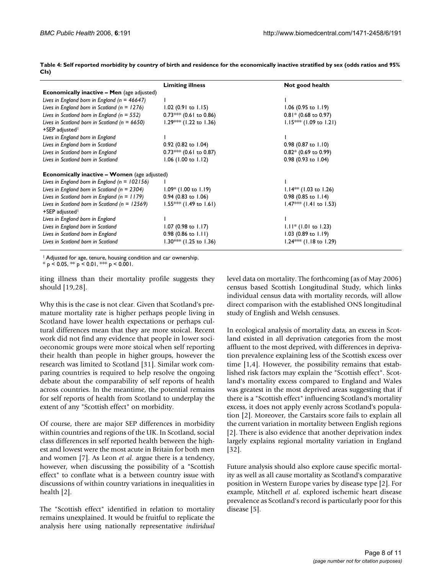|                                                     | <b>Limiting illness</b>  | Not good health          |  |  |
|-----------------------------------------------------|--------------------------|--------------------------|--|--|
| <b>Economically inactive – Men</b> (age adjusted)   |                          |                          |  |  |
| Lives in England born in England ( $n = 46647$ )    |                          |                          |  |  |
| Lives in England born in Scotland ( $n = 1276$ )    | $1.02$ (0.91 to 1.15)    | $1.06$ (0.95 to $1.19$ ) |  |  |
| Lives in Scotland born in England ( $n = 552$ )     | $0.73***$ (0.61 to 0.86) | $0.81*$ (0.68 to 0.97)   |  |  |
| Lives in Scotland born in Scotland ( $n = 6650$ )   | $1.29***$ (1.22 to 1.36) | $1.15***$ (1.09 to 1.21) |  |  |
| +SEP adjusted <sup>1</sup>                          |                          |                          |  |  |
| Lives in England born in England                    |                          |                          |  |  |
| Lives in England born in Scotland                   | $0.92$ (0.82 to 1.04)    | $0.98$ (0.87 to 1.10)    |  |  |
| Lives in Scotland born in England                   | $0.73***$ (0.61 to 0.87) | $0.82*$ (0.69 to 0.99)   |  |  |
| Lives in Scotland born in Scotland                  | $1.06$ (1.00 to 1.12)    | $0.98$ (0.93 to 1.04)    |  |  |
| <b>Economically inactive – Women</b> (age adjusted) |                          |                          |  |  |
| Lives in England born in England ( $n = 102156$ )   |                          |                          |  |  |
| Lives in England born in Scotland ( $n = 2304$ )    | $1.09*$ (1.00 to 1.19)   | $1.14**$ (1.03 to 1.26)  |  |  |
| Lives in Scotland born in England ( $n = 1179$ )    | $0.94$ (0.83 to 1.06)    | $0.98$ (0.85 to 1.14)    |  |  |
| Lives in Scotland born in Scotland ( $n = 12569$ )  | $1.55***$ (1.49 to 1.61) | $1.47***$ (1.41 to 1.53) |  |  |
| +SEP adjusted <sup>1</sup>                          |                          |                          |  |  |
| Lives in England born in England                    |                          |                          |  |  |
| Lives in England born in Scotland                   | $1.07$ (0.98 to $1.17$ ) | $1.11*$ (1.01 to 1.23)   |  |  |
| Lives in Scotland born in England                   | $0.98$ (0.86 to 1.11)    | $1.03$ (0.89 to $1.19$ ) |  |  |
| Lives in Scotland born in Scotland                  | $1.30***$ (1.25 to 1.36) | $1.24$ ** (1.18 to 1.29) |  |  |

**Table 4: Self reported morbidity by country of birth and residence for the economically inactive stratified by sex (odds ratios and 95% CIs)**

1 Adjusted for age, tenure, housing condition and car ownership.

 $*$  p < 0.05,  $*$  p < 0.01,  $*$   $*$  p < 0.001.

iting illness than their mortality profile suggests they should [19,28].

Why this is the case is not clear. Given that Scotland's premature mortality rate is higher perhaps people living in Scotland have lower health expectations or perhaps cultural differences mean that they are more stoical. Recent work did not find any evidence that people in lower socioeconomic groups were more stoical when self reporting their health than people in higher groups, however the research was limited to Scotland [31]. Similar work comparing countries is required to help resolve the ongoing debate about the comparability of self reports of health across countries. In the meantime, the potential remains for self reports of health from Scotland to underplay the extent of any "Scottish effect" on morbidity.

Of course, there are major SEP differences in morbidity within countries and regions of the UK. In Scotland, social class differences in self reported health between the highest and lowest were the most acute in Britain for both men and women [7]. As Leon *et al*. argue there is a tendency, however, when discussing the possibility of a "Scottish effect" to conflate what is a between country issue with discussions of within country variations in inequalities in health [2].

The "Scottish effect" identified in relation to mortality remains unexplained. It would be fruitful to replicate the analysis here using nationally representative *individual*

level data on mortality. The forthcoming (as of May 2006) census based Scottish Longitudinal Study, which links individual census data with mortality records, will allow direct comparison with the established ONS longitudinal study of English and Welsh censuses.

In ecological analysis of mortality data, an excess in Scotland existed in all deprivation categories from the most affluent to the most deprived, with differences in deprivation prevalence explaining less of the Scottish excess over time [1,4]. However, the possibility remains that established risk factors may explain the "Scottish effect". Scotland's mortality excess compared to England and Wales was greatest in the most deprived areas suggesting that if there is a "Scottish effect" influencing Scotland's mortality excess, it does not apply evenly across Scotland's population [2]. Moreover, the Carstairs score fails to explain all the current variation in mortality between English regions [2]. There is also evidence that another deprivation index largely explains regional mortality variation in England [32].

Future analysis should also explore cause specific mortality as well as all cause mortality as Scotland's comparative position in Western Europe varies by disease type [2]. For example, Mitchell *et al*. explored ischemic heart disease prevalence as Scotland's record is particularly poor for this disease [5].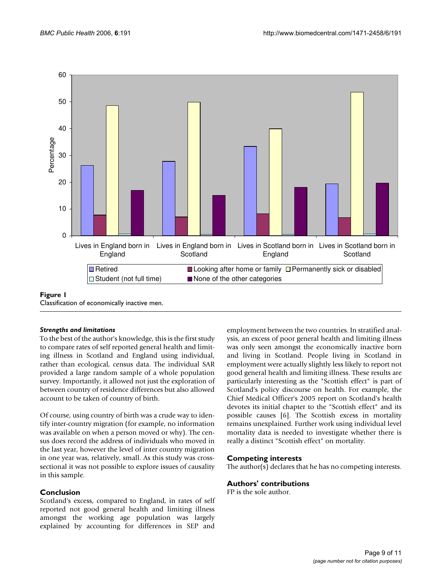

# Figure 1

Classification of economically inactive men.

### *Strengths and limitations*

To the best of the author's knowledge, this is the first study to compare rates of self reported general health and limiting illness in Scotland and England using individual, rather than ecological, census data. The individual SAR provided a large random sample of a whole population survey. Importantly, it allowed not just the exploration of between country of residence differences but also allowed account to be taken of country of birth.

Of course, using country of birth was a crude way to identify inter-country migration (for example, no information was available on when a person moved or why). The census does record the address of individuals who moved in the last year, however the level of inter country migration in one year was, relatively, small. As this study was crosssectional it was not possible to explore issues of causality in this sample.

# **Conclusion**

Scotland's excess, compared to England, in rates of self reported not good general health and limiting illness amongst the working age population was largely explained by accounting for differences in SEP and employment between the two countries. In stratified analysis, an excess of poor general health and limiting illness was only seen amongst the economically inactive born and living in Scotland. People living in Scotland in employment were actually slightly less likely to report not good general health and limiting illness. These results are particularly interesting as the "Scottish effect" is part of Scotland's policy discourse on health. For example, the Chief Medical Officer's 2005 report on Scotland's health devotes its initial chapter to the "Scottish effect" and its possible causes [6]. The Scottish excess in mortality remains unexplained. Further work using individual level mortality data is needed to investigate whether there is really a distinct "Scottish effect" on mortality.

# **Competing interests**

The author(s) declares that he has no competing interests.

# **Authors' contributions**

FP is the sole author.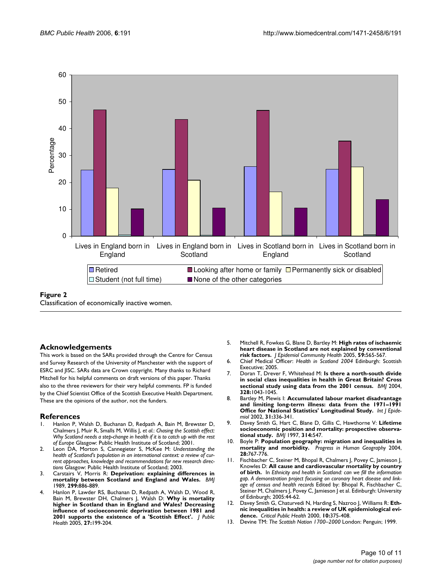

### Figure 2

Classification of economically inactive women.

# **Acknowledgements**

This work is based on the SARs provided through the Centre for Census and Survey Research of the University of Manchester with the support of ESRC and JISC. SARs data are Crown copyright. Many thanks to Richard Mitchell for his helpful comments on draft versions of this paper. Thanks also to the three reviewers for their very helpful comments. FP is funded by the Chief Scientist Office of the Scottish Executive Health Department. These are the opinions of the author, not the funders.

### **References**

- 1. Hanlon P, Walsh D, Buchanan D, Redpath A, Bain M, Brewster D, Chalmers J, Muir R, Smalls M, Willis J, *et al.*: *Chasing the Scottish effect: Why Scotland needs a step-change in health if it is to catch up with the rest of Europe* Glasgow: Public Health Institute of Scotland; 2001.
- 2. Leon DA, Morton S, Cannegieter S, McKee M: *Understanding the health of Scotland's population in an international context: a review of current approaches, knowledge and recommendations for new research directions* Glasgow: Public Health Institute of Scotland; 2003.
- 3. Carstairs V, Morris R: **[Deprivation: explaining differences in](http://www.ncbi.nlm.nih.gov/entrez/query.fcgi?cmd=Retrieve&db=PubMed&dopt=Abstract&list_uids=2510878) [mortality between Scotland and England and Wales.](http://www.ncbi.nlm.nih.gov/entrez/query.fcgi?cmd=Retrieve&db=PubMed&dopt=Abstract&list_uids=2510878)** *BMJ* 1989, **299:**886-889.
- Hanlon P, Lawder RS, Buchanan D, Redpath A, Walsh D, Wood R, Bain M, Brewster DH, Chalmers J, Walsh D: **Why is mortality higher in Scotland than in England and Wales? Decreasing influence of socioeconomic deprivation between 1981 and 2001 supports the existence of a 'Scottish Effect'.** *J Public Health* 2005, **27:**199-204.
- 5. Mitchell R, Fowkes G, Blane D, Bartley M: **[High rates of ischaemic](http://www.ncbi.nlm.nih.gov/entrez/query.fcgi?cmd=Retrieve&db=PubMed&dopt=Abstract&list_uids=15965139) [heart disease in Scotland are not explained by conventional](http://www.ncbi.nlm.nih.gov/entrez/query.fcgi?cmd=Retrieve&db=PubMed&dopt=Abstract&list_uids=15965139) [risk factors.](http://www.ncbi.nlm.nih.gov/entrez/query.fcgi?cmd=Retrieve&db=PubMed&dopt=Abstract&list_uids=15965139)** *J Epidemiol Community Health* 2005, **59:**565-567.
- 6. Chief Medical Officer: *Health in Scotland 2004* Edinburgh: Scottish Executive; 2005.
- 7. Doran T, Drever F, Whitehead M: **[Is there a north-south divide](http://www.ncbi.nlm.nih.gov/entrez/query.fcgi?cmd=Retrieve&db=PubMed&dopt=Abstract&list_uids=15117791) [in social class inequalities in health in Great Britain? Cross](http://www.ncbi.nlm.nih.gov/entrez/query.fcgi?cmd=Retrieve&db=PubMed&dopt=Abstract&list_uids=15117791) [sectional study using data from the 2001 census.](http://www.ncbi.nlm.nih.gov/entrez/query.fcgi?cmd=Retrieve&db=PubMed&dopt=Abstract&list_uids=15117791)** *BMJ* 2004, **328:**1043-1045.
- 8. Bartley M, Plewis I: **[Accumulated labour market disadvantage](http://www.ncbi.nlm.nih.gov/entrez/query.fcgi?cmd=Retrieve&db=PubMed&dopt=Abstract&list_uids=11980794) [and limiting long-term illness: data from the 1971–1991](http://www.ncbi.nlm.nih.gov/entrez/query.fcgi?cmd=Retrieve&db=PubMed&dopt=Abstract&list_uids=11980794) [Office for National Statistics' Longitudinal Study.](http://www.ncbi.nlm.nih.gov/entrez/query.fcgi?cmd=Retrieve&db=PubMed&dopt=Abstract&list_uids=11980794)** *Int J Epidemiol* 2002, **31:**336-341.
- 9. Davey Smith G, Hart C, Blane D, Gillis C, Hawthorne V: **[Lifetime](http://www.ncbi.nlm.nih.gov/entrez/query.fcgi?cmd=Retrieve&db=PubMed&dopt=Abstract&list_uids=9055712) [socioeconomic position and mortality: prospective observa](http://www.ncbi.nlm.nih.gov/entrez/query.fcgi?cmd=Retrieve&db=PubMed&dopt=Abstract&list_uids=9055712)[tional study.](http://www.ncbi.nlm.nih.gov/entrez/query.fcgi?cmd=Retrieve&db=PubMed&dopt=Abstract&list_uids=9055712)** *BMJ* 1997, **314:**547.
- 10. Boyle P: **Population geography: migration and inequalities in mortality and morbidity.** *Progress in Human Geography* 2004, **28:**767-776.
- 11. Fischbacher C, Steiner M, Bhopal R, Chalmers J, Povey C, Jamieson J, Knowles D: **All cause and cardiovascular mortality by country of birth.** In *Ethnicity and health in Scotland: can we fill the information gap. A demonstration project focusing on coronary heart disease and linkage of census and health records* Edited by: Bhopal R, Fischbacher C, Steiner M, Chalmers J, Povey C, Jamieson J et al. Edinburgh: University of Edinburgh; 2005:44-62.
- 12. Davey Smith G, Chaturvedi N, Harding S, Nazroo J, Williams R: **Ethnic inequalities in health: a review of UK epidemiological evidence.** *Critical Public Health* 2000, **10:**375-408.
- 13. Devine TM: *The Scottish Nation 1700–2000* London: Penguin; 1999.